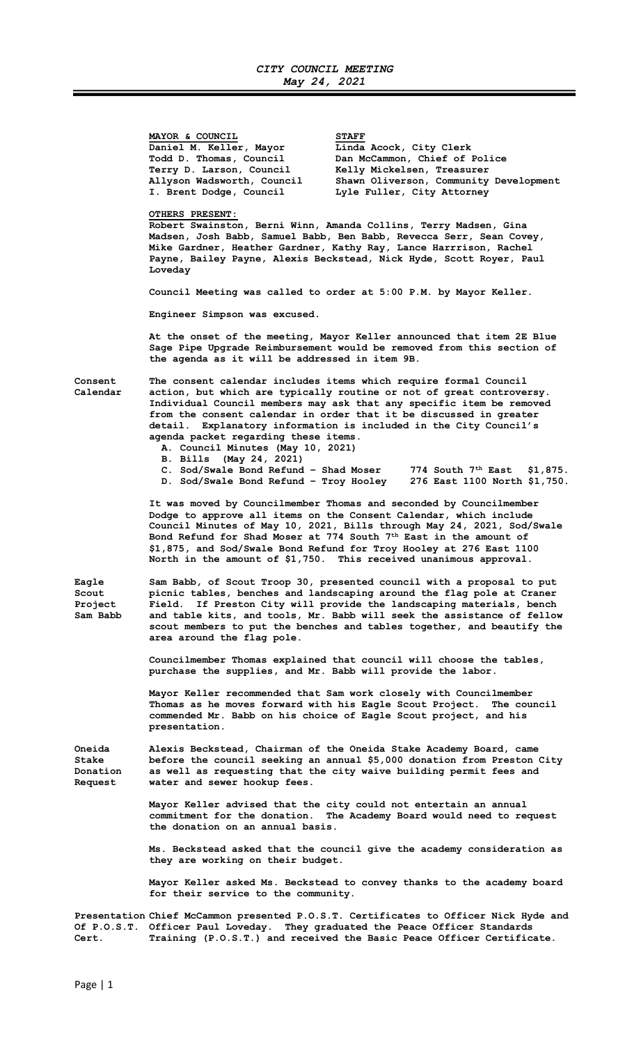MAYOR & COUNCIL STAFF Daniel M. Keller, Mayor Linda Acock, City Clerk Terry D. Larson, Council Kelly Mickelsen, Treasurer<br>Allyson Wadsworth, Council Shawn Oliverson, Community

 Todd D. Thomas, Council Dan McCammon, Chief of Police Allyson Wadsworth, Council Shawn Oliverson, Community Development<br>I. Brent Dodge, Council Lyle Fuller, City Attorney Lyle Fuller, City Attorney

## OTHERS PRESENT:

Robert Swainston, Berni Winn, Amanda Collins, Terry Madsen, Gina Madsen, Josh Babb, Samuel Babb, Ben Babb, Revecca Serr, Sean Covey, Mike Gardner, Heather Gardner, Kathy Ray, Lance Harrrison, Rachel Payne, Bailey Payne, Alexis Beckstead, Nick Hyde, Scott Royer, Paul Loveday

Council Meeting was called to order at 5:00 P.M. by Mayor Keller.

Engineer Simpson was excused.

At the onset of the meeting, Mayor Keller announced that item 2E Blue Sage Pipe Upgrade Reimbursement would be removed from this section of the agenda as it will be addressed in item 9B.

Consent The consent calendar includes items which require formal Council Calendar action, but which are typically routine or not of great controversy. Individual Council members may ask that any specific item be removed from the consent calendar in order that it be discussed in greater detail. Explanatory information is included in the City Council's agenda packet regarding these items.

- A. Council Minutes (May 10, 2021)
- B. Bills (May 24, 2021)
- C. Sod/Swale Bond Refund Shad Moser 774 South 7<sup>th</sup> East \$1,875.<br>D. Sod/Swale Bond Refund Troy Hooley 276 East 1100 North \$1,750. D. Sod/Swale Bond Refund - Troy Hooley

 It was moved by Councilmember Thomas and seconded by Councilmember Dodge to approve all items on the Consent Calendar, which include Council Minutes of May 10, 2021, Bills through May 24, 2021, Sod/Swale Bond Refund for Shad Moser at 774 South 7<sup>th</sup> East in the amount of \$1,875, and Sod/Swale Bond Refund for Troy Hooley at 276 East 1100 North in the amount of \$1,750. This received unanimous approval.

Eagle Sam Babb, of Scout Troop 30, presented council with a proposal to put Scout picnic tables, benches and landscaping around the flag pole at Craner<br>Project Field. If Preston City will provide the landscaping materials, bench Field. If Preston City will provide the landscaping materials, bench Sam Babb and table kits, and tools, Mr. Babb will seek the assistance of fellow scout members to put the benches and tables together, and beautify the area around the flag pole.

> Councilmember Thomas explained that council will choose the tables, purchase the supplies, and Mr. Babb will provide the labor.

 Mayor Keller recommended that Sam work closely with Councilmember Thomas as he moves forward with his Eagle Scout Project. The council commended Mr. Babb on his choice of Eagle Scout project, and his presentation.

Oneida Alexis Beckstead, Chairman of the Oneida Stake Academy Board, came Stake before the council seeking an annual \$5,000 donation from Preston City<br>Donation as well as requesting that the city waive building permit fees and as well as requesting that the city waive building permit fees and Request water and sewer hookup fees.

> Mayor Keller advised that the city could not entertain an annual commitment for the donation. The Academy Board would need to request the donation on an annual basis.

> Ms. Beckstead asked that the council give the academy consideration as they are working on their budget.

> Mayor Keller asked Ms. Beckstead to convey thanks to the academy board for their service to the community.

Presentation Chief McCammon presented P.O.S.T. Certificates to Officer Nick Hyde and Of P.O.S.T. Officer Paul Loveday. They graduated the Peace Officer Standards Cert. Training (P.O.S.T.) and received the Basic Peace Officer Certificate.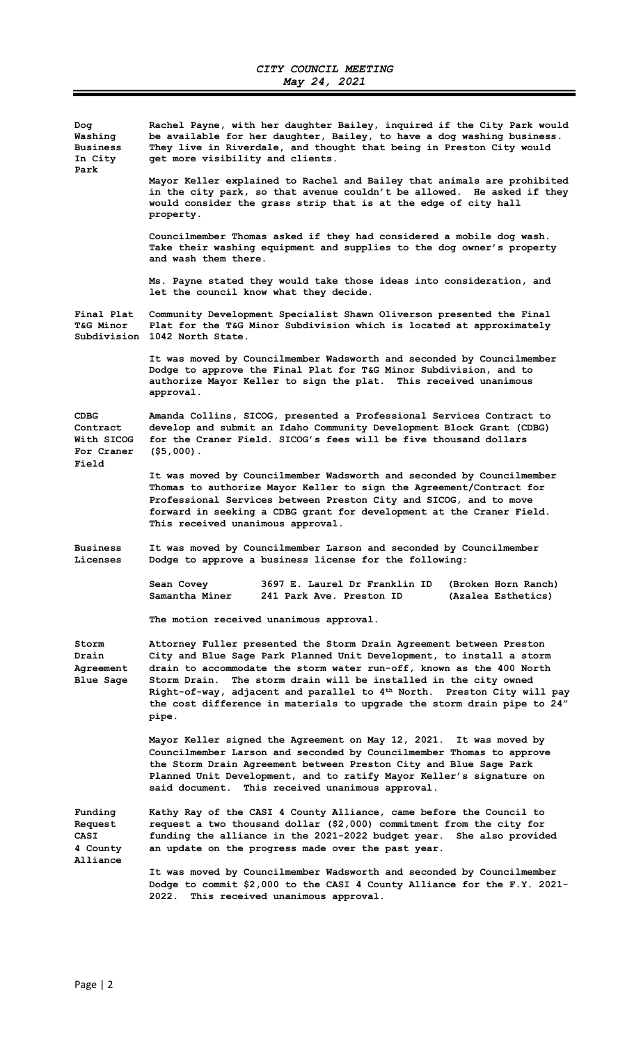| Doq<br>Washing<br><b>Business</b><br>In City<br>Park | Rachel Payne, with her daughter Bailey, inquired if the City Park would<br>be available for her daughter, Bailey, to have a dog washing business.<br>They live in Riverdale, and thought that being in Preston City would<br>get more visibility and clients.                                                                                                                                                                                                         |
|------------------------------------------------------|-----------------------------------------------------------------------------------------------------------------------------------------------------------------------------------------------------------------------------------------------------------------------------------------------------------------------------------------------------------------------------------------------------------------------------------------------------------------------|
|                                                      | Mayor Keller explained to Rachel and Bailey that animals are prohibited<br>in the city park, so that avenue couldn't be allowed. He asked if they<br>would consider the grass strip that is at the edge of city hall<br>property.                                                                                                                                                                                                                                     |
|                                                      | Councilmember Thomas asked if they had considered a mobile dog wash.<br>Take their washing equipment and supplies to the dog owner's property<br>and wash them there.                                                                                                                                                                                                                                                                                                 |
|                                                      | Ms. Payne stated they would take those ideas into consideration, and<br>let the council know what they decide.                                                                                                                                                                                                                                                                                                                                                        |
| Final Plat<br><b>T&amp;G Minor</b>                   | Community Development Specialist Shawn Oliverson presented the Final<br>Plat for the T&G Minor Subdivision which is located at approximately<br>Subdivision 1042 North State.                                                                                                                                                                                                                                                                                         |
|                                                      | It was moved by Councilmember Wadsworth and seconded by Councilmember<br>Dodge to approve the Final Plat for T&G Minor Subdivision, and to<br>authorize Mayor Keller to sign the plat. This received unanimous<br>approval.                                                                                                                                                                                                                                           |
| CDBG<br>Contract<br>With SICOG<br>For Craner         | Amanda Collins, SICOG, presented a Professional Services Contract to<br>develop and submit an Idaho Community Development Block Grant (CDBG)<br>for the Craner Field. SICOG's fees will be five thousand dollars<br>$($ \$5,000).                                                                                                                                                                                                                                     |
| Field                                                | It was moved by Councilmember Wadsworth and seconded by Councilmember<br>Thomas to authorize Mayor Keller to sign the Agreement/Contract for<br>Professional Services between Preston City and SICOG, and to move<br>forward in seeking a CDBG grant for development at the Craner Field.<br>This received unanimous approval.                                                                                                                                        |
| <b>Business</b><br>Licenses                          | It was moved by Councilmember Larson and seconded by Councilmember<br>Dodge to approve a business license for the following:                                                                                                                                                                                                                                                                                                                                          |
|                                                      | Sean Covey<br>3697 E. Laurel Dr Franklin ID<br>(Broken Horn Ranch)<br>Samantha Miner<br>241 Park Ave. Preston ID<br>(Azalea Esthetics)                                                                                                                                                                                                                                                                                                                                |
|                                                      | The motion received unanimous approval.                                                                                                                                                                                                                                                                                                                                                                                                                               |
| Storm<br>Drain<br>Agreement<br>Blue Sage             | Attorney Fuller presented the Storm Drain Agreement between Preston<br>City and Blue Sage Park Planned Unit Development, to install a storm<br>drain to accommodate the storm water run-off, known as the 400 North<br>Storm Drain.<br>The storm drain will be installed in the city owned<br>Right-of-way, adjacent and parallel to 4 <sup>th</sup> North. Preston City will pay<br>the cost difference in materials to upgrade the storm drain pipe to 24"<br>pipe. |
|                                                      | Mayor Keller signed the Agreement on May 12, 2021. It was moved by<br>Councilmember Larson and seconded by Councilmember Thomas to approve<br>the Storm Drain Agreement between Preston City and Blue Sage Park<br>Planned Unit Development, and to ratify Mayor Keller's signature on<br>said document. This received unanimous approval.                                                                                                                            |
| Funding<br>Request<br>CASI<br>4 County<br>Alliance   | Kathy Ray of the CASI 4 County Alliance, came before the Council to<br>request a two thousand dollar (\$2,000) commitment from the city for<br>funding the alliance in the 2021-2022 budget year. She also provided<br>an update on the progress made over the past year.                                                                                                                                                                                             |
|                                                      | It was moved by Councilmember Wadsworth and seconded by Councilmember<br>Dodge to commit \$2,000 to the CASI 4 County Alliance for the F.Y. 2021-<br>This received unanimous approval.<br>2022.                                                                                                                                                                                                                                                                       |